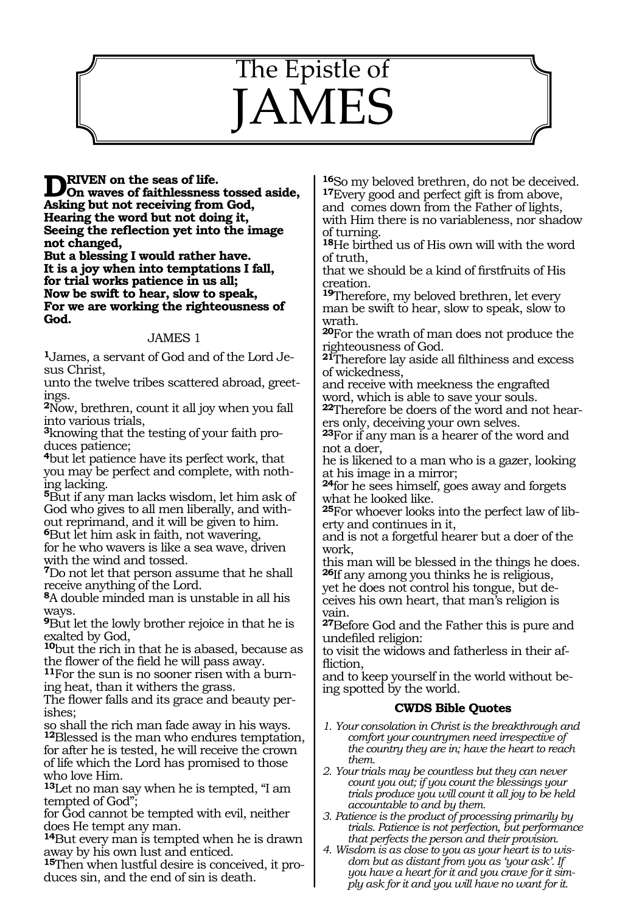# The Epistle of **JAMES**

## **DRIVEN** on the seas of life.<br> **On waves of faithlessness tossed aside,**<br> **Asking but not positing from Cod**

**Asking but not receiving from God, Hearing the word but not doing it, Seeing the reflection yet into the image not changed,**

**But a blessing I would rather have. It is a joy when into temptations I fall, for trial works patience in us all; Now be swift to hear, slow to speak, For we are working the righteousness of God.**

#### JAMES 1

**1**James, a servant of God and of the Lord Jesus Christ,

unto the twelve tribes scattered abroad, greetings.

**<sup>2</sup>**Now, brethren, count it all joy when you fall into various trials,

**3**knowing that the testing of your faith produces patience;

**<sup>4</sup>**but let patience have its perfect work, that you may be perfect and complete, with nothing lacking.

**<sup>5</sup>**But if any man lacks wisdom, let him ask of God who gives to all men liberally, and without reprimand, and it will be given to him.

**<sup>6</sup>**But let him ask in faith, not wavering, for he who wavers is like a sea wave, driven with the wind and tossed.

**<sup>7</sup>**Do not let that person assume that he shall receive anything of the Lord.

**<sup>8</sup>**A double minded man is unstable in all his ways.

**<sup>9</sup>**But let the lowly brother rejoice in that he is exalted by God,

**<sup>10</sup>**but the rich in that he is abased, because as the flower of the field he will pass away.

**11**For the sun is no sooner risen with a burning heat, than it withers the grass.

The flower falls and its grace and beauty per- ishes;

so shall the rich man fade away in his ways. **<sup>12</sup>**Blessed is the man who endures temptation, for after he is tested, he will receive the crown of life which the Lord has promised to those who love Him.

**<sup>13</sup>**Let no man say when he is tempted, "I am tempted of God";

for God cannot be tempted with evil, neither does He tempt any man.

**<sup>14</sup>**But every man is tempted when he is drawn away by his own lust and enticed.

**15**Then when lustful desire is conceived, it produces sin, and the end of sin is death.

**<sup>16</sup>**So my beloved brethren, do not be deceived. **<sup>17</sup>**Every good and perfect gift is from above, and comes down from the Father of lights, with Him there is no variableness, nor shadow of turning.

**<sup>18</sup>**He birthed us of His own will with the word of truth,

that we should be a kind of firstfruits of His creation.

**<sup>19</sup>**Therefore, my beloved brethren, let every man be swift to hear, slow to speak, slow to wrath.

**<sup>20</sup>**For the wrath of man does not produce the righteousness of God.

**<sup>21</sup>**Therefore lay aside all filthiness and excess of wickedness,

and receive with meekness the engrafted word, which is able to save your souls.

**22**Therefore be doers of the word and not hearers only, deceiving your own selves.

**<sup>23</sup>**For if any man is a hearer of the word and not a doer,

he is likened to a man who is a gazer, looking at his image in a mirror;

**<sup>24</sup>**for he sees himself, goes away and forgets what he looked like.

**25**For whoever looks into the perfect law of liberty and continues in it,

and is not a forgetful hearer but a doer of the work,

this man will be blessed in the things he does. **<sup>26</sup>**If any among you thinks he is religious,

yet he does not control his tongue, but de- ceives his own heart, that man's religion is vain.

**<sup>27</sup>**Before God and the Father this is pure and undefiled religion:

to visit the widows and fatherless in their affliction,

and to keep yourself in the world without being spotted by the world.

#### **CWDS Bible Quotes**

- *1. Your consolation in Christ is the breakthrough and comfort your countrymen need irrespective of the country they are in; have the heart to reach them.*
- *2. Your trials may be countless but they can never count you out; if you count the blessings your trials produce you will count it all joy to be held accountable to and by them.*
- *3. Patience is the product of processing primarily by trials. Patience is not perfection, but performance that perfects the person and their provision.*
- *4. Wisdom is as close to you as your heart is to wisdom but as distant from you as 'your ask'. If you have a heart for it and you crave for it simply ask for it and you will have no want for it.*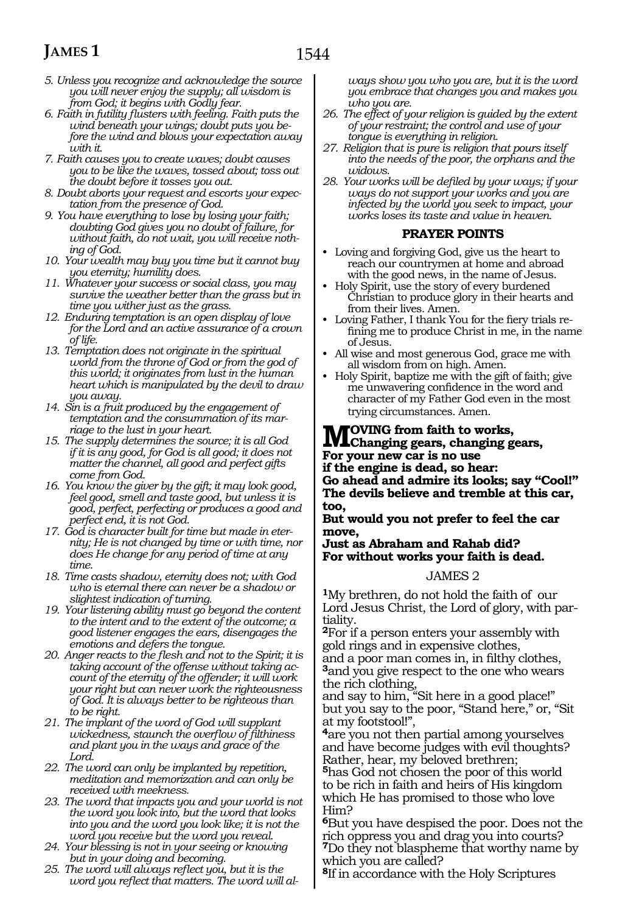## **JAMES 1**

- *5. Unless you recognize and acknowledge the source you will never enjoy the supply; all wisdom is from God; it begins with Godly fear.*
- *6. Faith in futility flusters with feeling. Faith puts the wind beneath your wings; doubt puts you before the wind and blows your expectation away with it.*
- *7. Faith causes you to create waves; doubt causes you to be like the waves, tossed about; toss out the doubt before it tosses you out.*
- *8. Doubt aborts your request and escorts your expectation from the presence of God.*
- *9. You have everything to lose by losing your faith; doubting God gives you no doubt of failure, for without faith, do not wait, you will receive nothing of God.*
- *10. Your wealth may buy you time but it cannot buy you eternity; humility does.*
- *11. Whatever your success or social class, you may survive the weather better than the grass but in time you wither just as the grass.*
- *12. Enduring temptation is an open display of love for the Lord and an active assurance of a crown of life.*
- *13. Temptation does not originate in the spiritual world from the throne of God or from the god of this world; it originates from lust in the human heart which is manipulated by the devil to draw you away.*
- *14. Sin is a fruit produced by the engagement of temptation and the consummation of its marriage to the lust in your heart.*
- *15. The supply determines the source; it is all God if it is any good, for God is all good; it does not matter the channel, all good and perfect gifts come from God.*
- *16. You know the giver by the gift; it may look good, feel good, smell and taste good, but unless it is good, perfect, perfecting or produces a good and perfect end, it is not God.*
- *17. God is character built for time but made in eternity; He is not changed by time or with time, nor does He change for any period of time at any time.*
- *18. Time casts shadow, eternity does not; with God who is eternal there can never be a shadow or slightest indication of turning.*
- *19. Your listening ability must go beyond the content to the intent and to the extent of the outcome; a good listener engages the ears, disengages the emotions and defers the tongue.*
- *20. Anger reacts to the flesh and not to the Spirit; it is taking account of the offense without taking account of the eternity of the offender; it will work your right but can never work the righteousness of God. It is always better to be righteous than to be right.*
- *21. The implant of the word of God will supplant wickedness, staunch the overflow of filthiness and plant you in the ways and grace of the Lord.*
- *22. The word can only be implanted by repetition, meditation and memorization and can only be received with meekness.*
- *23. The word that impacts you and your world is not the word you look into, but the word that looks into you and the word you look like; it is not the word you receive but the word you reveal.*
- *24. Your blessing is not in your seeing or knowing but in your doing and becoming.*
- *25. The word will always reflect you, but it is the word you reflect that matters. The word will al-*

*ways show you who you are, but it is the word you embrace that changes you and makes you who you are.*

- *26. The effect of your religion is guided by the extent of your restraint; the control and use of your tongue is everything in religion.*
- *27. Religion that is pure is religion that pours itself into the needs of the poor, the orphans and the widows.*
- *28. Your works will be defiled by your ways; if your ways do not support your works and you are infected by the world you seek to impact, your works loses its taste and value in heaven.*

#### **PRAYER POINTS**

- Loving and forgiving God, give us the heart to reach our countrymen at home and abroad with the good news, in the name of Jesus.
- Holy Spirit, use the story of every burdened Christian to produce glory in their hearts and from their lives. Amen.
- Loving Father, I thank You for the fiery trials refining me to produce Christ in me, in the name of Jesus.
- All wise and most generous God, grace me with all wisdom from on high. Amen.
- Holy Spirit, baptize me with the gift of faith; give me unwavering confidence in the word and character of my Father God even in the most trying circumstances. Amen.

## **Moving from faith to works, Changing gears, changing gears,**

**For your new car is no use**

**if the engine is dead, so hear:**

**Go ahead and admire its looks; say "Cool!" The devils believe and tremble at this car, too,**

**But would you not prefer to feel the car move,**

**Just as Abraham and Rahab did? For without works your faith is dead.**

#### JAMES 2

**<sup>1</sup>**My brethren, do not hold the faith of our Lord Jesus Christ, the Lord of glory, with partiality.

**<sup>2</sup>**For if a person enters your assembly with gold rings and in expensive clothes,

and a poor man comes in, in filthy clothes, **<sup>3</sup>**and you give respect to the one who wears the rich clothing,

and say to him, "Sit here in a good place!" but you say to the poor, "Stand here," or, "Sit at my footstool!",

**<sup>4</sup>**are you not then partial among yourselves and have become judges with evil thoughts? Rather, hear, my beloved brethren;

**<sup>5</sup>**has God not chosen the poor of this world to be rich in faith and heirs of His kingdom which He has promised to those who love Him?

**<sup>6</sup>**But you have despised the poor. Does not the rich oppress you and drag you into courts? **<sup>7</sup>**Do they not blaspheme that worthy name by which you are called?

**<sup>8</sup>**If in accordance with the Holy Scriptures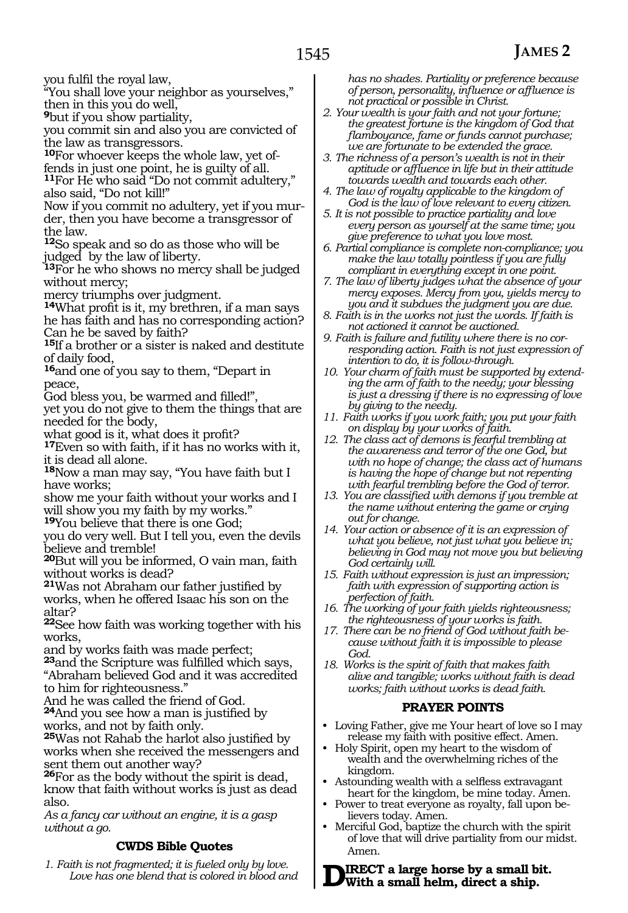you fulfil the royal law,

"You shall love your neighbor as yourselves," then in this you do well,

**<sup>9</sup>**but if you show partiality,

you commit sin and also you are convicted of the law as transgressors.

**10**For whoever keeps the whole law, yet offends in just one point, he is guilty of all.

**<sup>11</sup>**For He who said "Do not commit adultery," also said, "Do not kill!"

Now if you commit no adultery, yet if you murder, then you have become a transgressor of the law.

**<sup>12</sup>**So speak and so do as those who will be judged by the law of liberty.

**<sup>13</sup>**For he who shows no mercy shall be judged without mercy;

mercy triumphs over judgment.

**<sup>14</sup>**What profit is it, my brethren, if a man says he has faith and has no corresponding action? Can he be saved by faith?

**<sup>15</sup>**If a brother or a sister is naked and destitute of daily food,

**<sup>16</sup>**and one of you say to them, "Depart in peace,

God bless you, be warmed and filled!",

yet you do not give to them the things that are needed for the body,

what good is it, what does it profit?

**<sup>17</sup>**Even so with faith, if it has no works with it, it is dead all alone.

**<sup>18</sup>**Now a man may say, "You have faith but I have works;

show me your faith without your works and I will show you my faith by my works."

**<sup>19</sup>**You believe that there is one God; you do very well. But I tell you, even the devils

believe and tremble!

**<sup>20</sup>**But will you be informed, O vain man, faith without works is dead?

**<sup>21</sup>**Was not Abraham our father justified by works, when he offered Isaac his son on the altar?

**<sup>22</sup>**See how faith was working together with his works,

and by works faith was made perfect;

**<sup>23</sup>**and the Scripture was fulfilled which says, "Abraham believed God and it was accredited to him for righteousness."

And he was called the friend of God.

**<sup>24</sup>**And you see how a man is justified by works, and not by faith only.

**<sup>25</sup>**Was not Rahab the harlot also justified by works when she received the messengers and sent them out another way?

**<sup>26</sup>**For as the body without the spirit is dead, know that faith without works is just as dead also.

*As a fancy car without an engine, it is a gasp without a go.*

#### **CWDS Bible Quotes**

*1. Faith is not fragmented; it is fueled only by love. Love has one blend that is colored in blood and*  *has no shades. Partiality or preference because of person, personality, influence or affluence is not practical or possible in Christ.*

- *2. Your wealth is your faith and not your fortune; the greatest fortune is the kingdom of God that flamboyance, fame or funds cannot purchase; we are fortunate to be extended the grace.*
- *3. The richness of a person's wealth is not in their aptitude or affluence in life but in their attitude towards wealth and towards each other.*
- *4. The law of royalty applicable to the kingdom of God is the law of love relevant to every citizen.*
- *5. It is not possible to practice partiality and love every person as yourself at the same time; you give preference to what you love most.*
- *6. Partial compliance is complete non-compliance; you make the law totally pointless if you are fully compliant in everything except in one point.*
- *7. The law of liberty judges what the absence of your mercy exposes. Mercy from you, yields mercy to you and it subdues the judgment you are due.*
- *8. Faith is in the works not just the words. If faith is not actioned it cannot be auctioned.*
- *9. Faith is failure and futility where there is no corresponding action. Faith is not just expression of intention to do, it is follow-through.*
- *10. Your charm of faith must be supported by extending the arm of faith to the needy; your blessing is just a dressing if there is no expressing of love by giving to the needy.*
- *11. Faith works if you work faith; you put your faith on display by your works of faith.*
- *12. The class act of demons is fearful trembling at the awareness and terror of the one God, but with no hope of change; the class act of humans is having the hope of change but not repenting with fearful trembling before the God of terror.*
- *13. You are classified with demons if you tremble at the name without entering the game or crying out for change.*
- *14. Your action or absence of it is an expression of what you believe, not just what you believe in; believing in God may not move you but believing God certainly will.*
- *15. Faith without expression is just an impression; faith with expression of supporting action is perfection of faith.*
- *16. The working of your faith yields righteousness; the righteousness of your works is faith.*
- *17. There can be no friend of God without faith because without faith it is impossible to please God.*
- *18. Works is the spirit of faith that makes faith alive and tangible; works without faith is dead works; faith without works is dead faith.*

#### **PRAYER POINTS**

- Loving Father, give me Your heart of love so I may release my faith with positive effect. Amen.
- Holy Spirit, open my heart to the wisdom of wealth and the overwhelming riches of the kingdom.
- Astounding wealth with a selfless extravagant heart for the kingdom, be mine today. Amen.
- Power to treat everyone as royalty, fall upon believers today. Amen.
- Merciful God, baptize the church with the spirit of love that will drive partiality from our midst. Amen.

**Direct a large horse by a small bit. With a small helm, direct a ship.**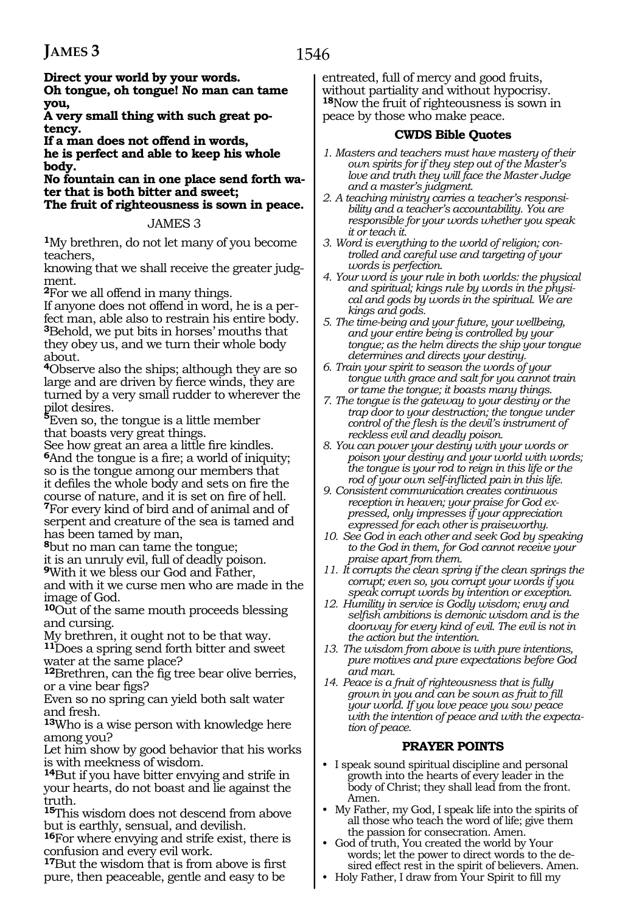**Direct your world by your words.**

**Oh tongue, oh tongue! No man can tame you,**

**A very small thing with such great potency.**

**If a man does not offend in words,**

**he is perfect and able to keep his whole body.**

**No fountain can in one place send forth water that is both bitter and sweet;**

**The fruit of righteousness is sown in peace.** 

#### JAMES 3

**<sup>1</sup>**My brethren, do not let many of you become teachers,

knowing that we shall receive the greater judgment.

**<sup>2</sup>**For we all offend in many things.

If anyone does not offend in word, he is a perfect man, able also to restrain his entire body. **<sup>3</sup>**Behold, we put bits in horses' mouths that they obey us, and we turn their whole body about.

**<sup>4</sup>**Observe also the ships; although they are so large and are driven by fierce winds, they are turned by a very small rudder to wherever the

pilot desires. **<sup>5</sup>**Even so, the tongue is a little member that boasts very great things.

See how great an area a little fire kindles. **<sup>6</sup>**And the tongue is a fire; a world of iniquity; so is the tongue among our members that it defiles the whole body and sets on fire the course of nature, and it is set on fire of hell. **<sup>7</sup>**For every kind of bird and of animal and of serpent and creature of the sea is tamed and has been tamed by man,

**<sup>8</sup>**but no man can tame the tongue;

it is an unruly evil, full of deadly poison.

**<sup>9</sup>**With it we bless our God and Father,

and with it we curse men who are made in the image of God.

**<sup>10</sup>**Out of the same mouth proceeds blessing and cursing.

My brethren, it ought not to be that way. **<sup>11</sup>**Does a spring send forth bitter and sweet water at the same place?

**<sup>12</sup>**Brethren, can the fig tree bear olive berries, or a vine bear figs?

Even so no spring can yield both salt water and fresh.

**<sup>13</sup>**Who is a wise person with knowledge here among you?

Let him show by good behavior that his works is with meekness of wisdom.

**<sup>14</sup>**But if you have bitter envying and strife in your hearts, do not boast and lie against the truth.

**<sup>15</sup>**This wisdom does not descend from above but is earthly, sensual, and devilish.

**<sup>16</sup>**For where envying and strife exist, there is confusion and every evil work.

**<sup>17</sup>**But the wisdom that is from above is first pure, then peaceable, gentle and easy to be entreated, full of mercy and good fruits, without partiality and without hypocrisy. **<sup>18</sup>**Now the fruit of righteousness is sown in peace by those who make peace.

#### **CWDS Bible Quotes**

- *1. Masters and teachers must have mastery of their own spirits for if they step out of the Master's love and truth they will face the Master Judge and a master's judgment.*
- *2. A teaching ministry carries a teacher's responsibility and a teacher's accountability. You are responsible for your words whether you speak it or teach it.*
- *3. Word is everything to the world of religion; controlled and careful use and targeting of your words is perfection.*
- *4. Your word is your rule in both worlds: the physical and spiritual; kings rule by words in the physical and gods by words in the spiritual. We are kings and gods.*
- *5. The time-being and your future, your wellbeing, and your entire being is controlled by your tongue; as the helm directs the ship your tongue determines and directs your destiny.*
- *6. Train your spirit to season the words of your tongue with grace and salt for you cannot train or tame the tongue; it boasts many things.*
- *7. The tongue is the gateway to your destiny or the trap door to your destruction; the tongue under control of the flesh is the devil's instrument of reckless evil and deadly poison.*
- *8. You can power your destiny with your words or poison your destiny and your world with words; the tongue is your rod to reign in this life or the rod of your own self-inflicted pain in this life.*
- *9. Consistent communication creates continuous reception in heaven; your praise for God expressed, only impresses if your appreciation expressed for each other is praiseworthy.*
- *10. See God in each other and seek God by speaking to the God in them, for God cannot receive your praise apart from them.*
- *11. It corrupts the clean spring if the clean springs the corrupt; even so, you corrupt your words if you speak corrupt words by intention or exception.*
- *12. Humility in service is Godly wisdom; envy and selfish ambitions is demonic wisdom and is the doorway for every kind of evil. The evil is not in the action but the intention.*
- *13. The wisdom from above is with pure intentions, pure motives and pure expectations before God and man.*
- *14. Peace is a fruit of righteousness that is fully grown in you and can be sown as fruit to fill your world. If you love peace you sow peace with the intention of peace and with the expectation of peace.*

#### **PRAYER POINTS**

- I speak sound spiritual discipline and personal growth into the hearts of every leader in the body of Christ; they shall lead from the front. Amen.
- My Father, my God, I speak life into the spirits of all those who teach the word of life; give them the passion for consecration. Amen.
- God of truth, You created the world by Your words; let the power to direct words to the desired effect rest in the spirit of believers. Amen.
- Holy Father, I draw from Your Spirit to fill my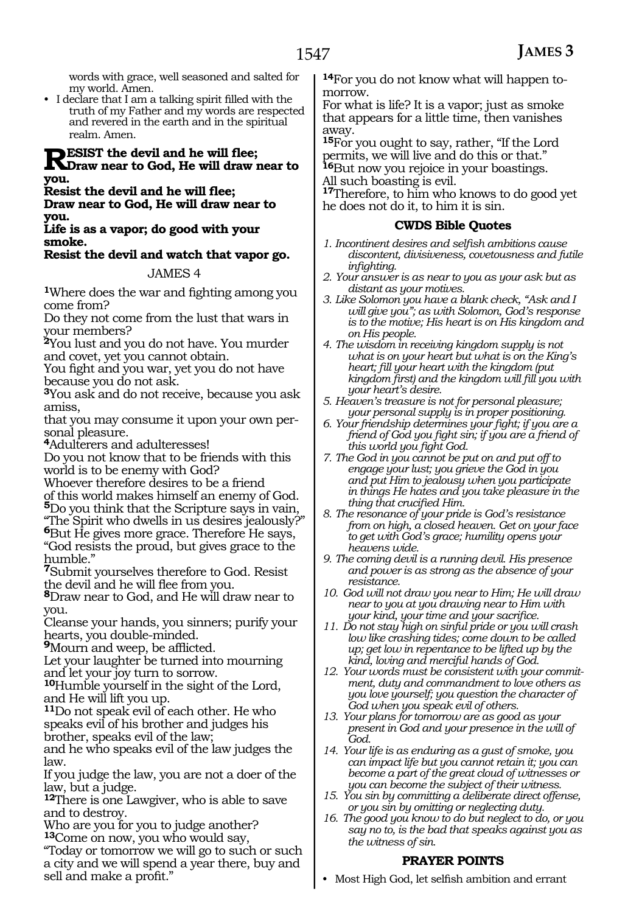words with grace, well seasoned and salted for my world. Amen.

• I declare that I am a talking spirit filled with the truth of my Father and my words are respected and revered in the earth and in the spiritual realm. Amen.

### **RESIST** the devil and he will flee;<br>
Figure 10 God, He will draw near to **you.**

**Resist the devil and he will flee;**

**Draw near to God, He will draw near to you.**

**Life is as a vapor; do good with your smoke.**

#### **Resist the devil and watch that vapor go.**

#### JAMES 4

**<sup>1</sup>**Where does the war and fighting among you come from?

Do they not come from the lust that wars in your members?

**<sup>2</sup>**You lust and you do not have. You murder and covet, yet you cannot obtain.

You fight and you war, yet you do not have because you do not ask.

**<sup>3</sup>**You ask and do not receive, because you ask amiss,

that you may consume it upon your own per- sonal pleasure.

**<sup>4</sup>**Adulterers and adulteresses!

Do you not know that to be friends with this world is to be enemy with God?

Whoever therefore desires to be a friend

of this world makes himself an enemy of God. **<sup>5</sup>**Do you think that the Scripture says in vain,

"The Spirit who dwells in us desires jealously?" **<sup>6</sup>**But He gives more grace. Therefore He says,

"God resists the proud, but gives grace to the humble."

**<sup>7</sup>**Submit yourselves therefore to God. Resist the devil and he will flee from you.

**<sup>8</sup>**Draw near to God, and He will draw near to you.

Cleanse your hands, you sinners; purify your hearts, you double-minded.

**<sup>9</sup>**Mourn and weep, be afflicted.

Let your laughter be turned into mourning and let your joy turn to sorrow.

**<sup>10</sup>**Humble yourself in the sight of the Lord, and He will lift you up.

**<sup>11</sup>**Do not speak evil of each other. He who speaks evil of his brother and judges his brother, speaks evil of the law;

and he who speaks evil of the law judges the law.

If you judge the law, you are not a doer of the law, but a judge.

**<sup>12</sup>**There is one Lawgiver, who is able to save and to destroy.

Who are you for you to judge another? **<sup>13</sup>**Come on now, you who would say,

"Today or tomorrow we will go to such or such a city and we will spend a year there, buy and sell and make a profit."

**14**For you do not know what will happen tomorrow.

For what is life? It is a vapor; just as smoke that appears for a little time, then vanishes away.

**<sup>15</sup>**For you ought to say, rather, "If the Lord permits, we will live and do this or that." **<sup>16</sup>**But now you rejoice in your boastings.

All such boasting is evil.

**<sup>17</sup>**Therefore, to him who knows to do good yet he does not do it, to him it is sin.

#### **CWDS Bible Quotes**

- *1. Incontinent desires and selfish ambitions cause discontent, divisiveness, covetousness and futile infighting.*
- *2. Your answer is as near to you as your ask but as distant as your motives.*
- *3. Like Solomon you have a blank check, "Ask and I will give you"; as with Solomon, God's response is to the motive; His heart is on His kingdom and on His people.*
- *4. The wisdom in receiving kingdom supply is not what is on your heart but what is on the King's heart; fill your heart with the kingdom (put kingdom first) and the kingdom will fill you with your heart's desire.*
- *5. Heaven's treasure is not for personal pleasure; your personal supply is in proper positioning.*
- *6. Your friendship determines your fight; if you are a friend of God you fight sin; if you are a friend of this world you fight God.*
- *7. The God in you cannot be put on and put off to engage your lust; you grieve the God in you and put Him to jealousy when you participate in things He hates and you take pleasure in the thing that crucified Him.*
- *8. The resonance of your pride is God's resistance from on high, a closed heaven. Get on your face to get with God's grace; humility opens your heavens wide.*
- *9. The coming devil is a running devil. His presence and power is as strong as the absence of your resistance.*
- *10. God will not draw you near to Him; He will draw near to you at you drawing near to Him with your kind, your time and your sacrifice.*
- *11. Do not stay high on sinful pride or you will crash low like crashing tides; come down to be called up; get low in repentance to be lifted up by the kind, loving and merciful hands of God.*
- *12. Your words must be consistent with your commitment, duty and commandment to love others as you love yourself; you question the character of God when you speak evil of others.*
- *13. Your plans for tomorrow are as good as your present in God and your presence in the will of God.*
- *14. Your life is as enduring as a gust of smoke, you can impact life but you cannot retain it; you can become a part of the great cloud of witnesses or you can become the subject of their witness.*
- *15. You sin by committing a deliberate direct offense, or you sin by omitting or neglecting duty.*
- *16. The good you know to do but neglect to do, or you say no to, is the bad that speaks against you as the witness of sin.*

#### **PRAYER POINTS**

• Most High God, let selfish ambition and errant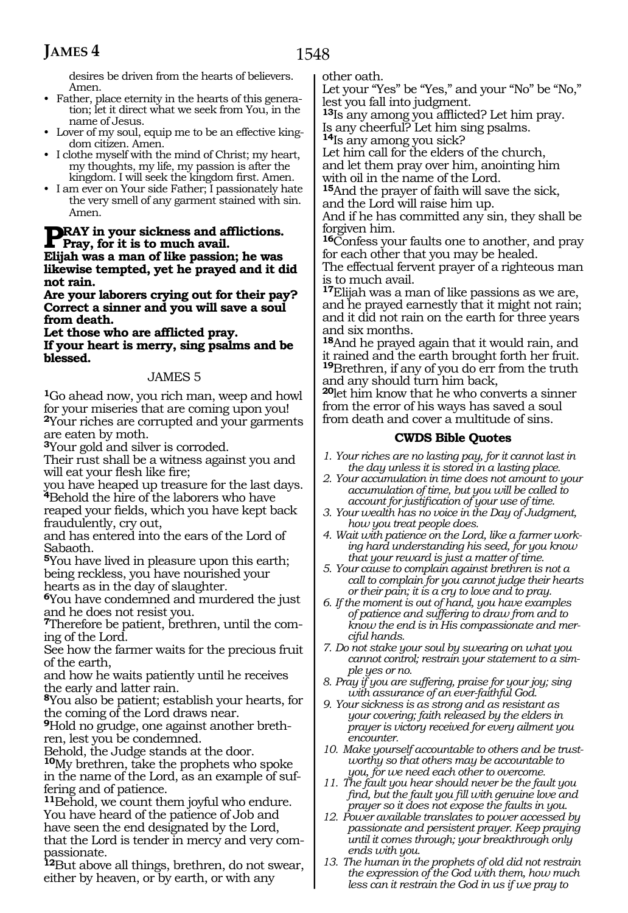1548

desires be driven from the hearts of believers. Amen.

- Father, place eternity in the hearts of this generation; let it direct what we seek from You, in the name of Jesus.
- Lover of my soul, equip me to be an effective kingdom citizen. Amen.
- I clothe myself with the mind of Christ; my heart, my thoughts, my life, my passion is after the kingdom. I will seek the kingdom first. Amen.
- I am ever on Your side Father; I passionately hate the very smell of any garment stained with sin. Amen.

## **PRAY** in your sickness and afflictions. **Pray, for it is to much avail.**

**Elijah was a man of like passion; he was likewise tempted, yet he prayed and it did not rain.**

**Are your laborers crying out for their pay? Correct a sinner and you will save a soul from death.**

**Let those who are afflicted pray. If your heart is merry, sing psalms and be blessed.**

#### JAMES 5

**<sup>1</sup>**Go ahead now, you rich man, weep and howl for your miseries that are coming upon you! **<sup>2</sup>**Your riches are corrupted and your garments are eaten by moth.

**<sup>3</sup>**Your gold and silver is corroded.

Their rust shall be a witness against you and will eat your flesh like fire;

you have heaped up treasure for the last days. **<sup>4</sup>**Behold the hire of the laborers who have

reaped your fields, which you have kept back fraudulently, cry out,

and has entered into the ears of the Lord of Sabaoth.

**<sup>5</sup>**You have lived in pleasure upon this earth; being reckless, you have nourished your hearts as in the day of slaughter.

**<sup>6</sup>**You have condemned and murdered the just and he does not resist you.

**7**Therefore be patient, brethren, until the coming of the Lord.

See how the farmer waits for the precious fruit of the earth,

and how he waits patiently until he receives the early and latter rain.

**<sup>8</sup>**You also be patient; establish your hearts, for the coming of the Lord draws near.

**9**Hold no grudge, one against another brethren, lest you be condemned.

Behold, the Judge stands at the door.

**<sup>10</sup>**My brethren, take the prophets who spoke in the name of the Lord, as an example of suffering and of patience.

**<sup>11</sup>**Behold, we count them joyful who endure. You have heard of the patience of Job and have seen the end designated by the Lord, that the Lord is tender in mercy and very compassionate.

**<sup>12</sup>**But above all things, brethren, do not swear, either by heaven, or by earth, or with any

other oath.

Let your "Yes" be "Yes," and your "No" be "No," lest you fall into judgment.

**<sup>13</sup>**Is any among you afflicted? Let him pray. Is any cheerful? Let him sing psalms.

**<sup>14</sup>**Is any among you sick?

Let him call for the elders of the church, and let them pray over him, anointing him with oil in the name of the Lord.

**<sup>15</sup>**And the prayer of faith will save the sick, and the Lord will raise him up.

And if he has committed any sin, they shall be forgiven him.

**<sup>16</sup>**Confess your faults one to another, and pray for each other that you may be healed.

The effectual fervent prayer of a righteous man is to much avail.

**<sup>17</sup>**Elijah was a man of like passions as we are, and he prayed earnestly that it might not rain; and it did not rain on the earth for three years and six months.

**<sup>18</sup>**And he prayed again that it would rain, and it rained and the earth brought forth her fruit. **<sup>19</sup>**Brethren, if any of you do err from the truth and any should turn him back,

**<sup>20</sup>**let him know that he who converts a sinner from the error of his ways has saved a soul from death and cover a multitude of sins.

#### **CWDS Bible Quotes**

- *1. Your riches are no lasting pay, for it cannot last in the day unless it is stored in a lasting place.*
- *2. Your accumulation in time does not amount to your accumulation of time, but you will be called to account for justification of your use of time.*
- *3. Your wealth has no voice in the Day of Judgment, how you treat people does.*
- *4. Wait with patience on the Lord, like a farmer working hard understanding his seed, for you know that your reward is just a matter of time.*
- *5. Your cause to complain against brethren is not a call to complain for you cannot judge their hearts or their pain; it is a cry to love and to pray.*
- *6. If the moment is out of hand, you have examples of patience and suffering to draw from and to know the end is in His compassionate and merciful hands.*
- *7. Do not stake your soul by swearing on what you cannot control; restrain your statement to a simple yes or no.*
- *8. Pray if you are suffering, praise for your joy; sing with assurance of an ever-faithful God.*
- *9. Your sickness is as strong and as resistant as your covering; faith released by the elders in prayer is victory received for every ailment you encounter.*
- *10. Make yourself accountable to others and be trustworthy so that others may be accountable to you, for we need each other to overcome.*
- *11. The fault you hear should never be the fault you find, but the fault you fill with genuine love and prayer so it does not expose the faults in you.*
- *12. Power available translates to power accessed by passionate and persistent prayer. Keep praying until it comes through; your breakthrough only ends with you.*
- *13. The human in the prophets of old did not restrain the expression of the God with them, how much less can it restrain the God in us if we pray to*